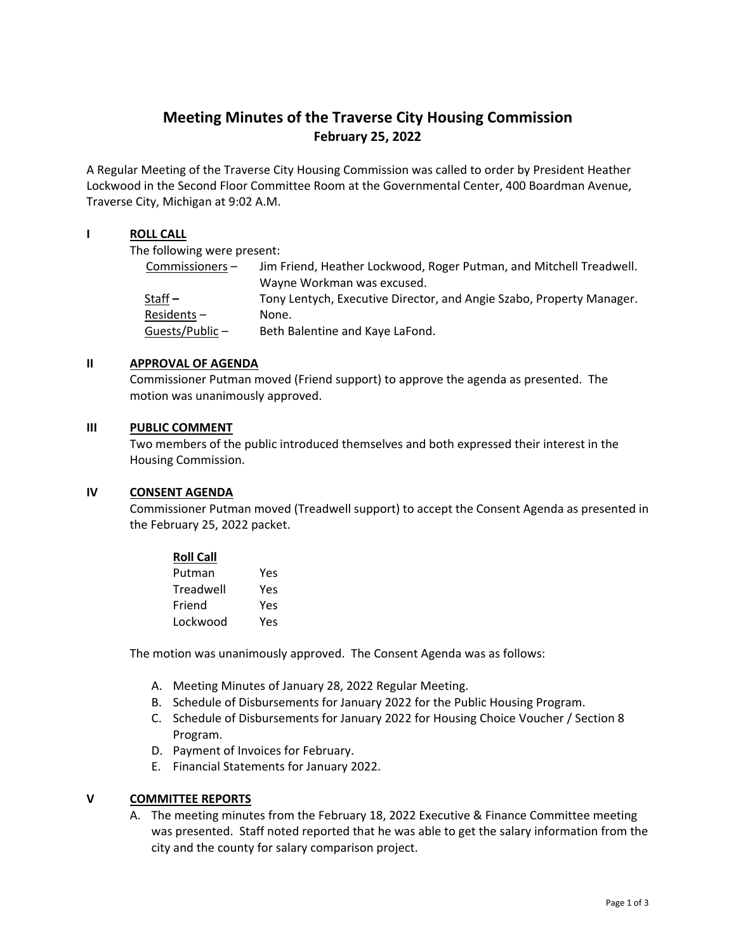# **Meeting Minutes of the Traverse City Housing Commission February 25, 2022**

A Regular Meeting of the Traverse City Housing Commission was called to order by President Heather Lockwood in the Second Floor Committee Room at the Governmental Center, 400 Boardman Avenue, Traverse City, Michigan at 9:02 A.M.

# **I ROLL CALL**

The following were present:

| $Commissioners -$ | Jim Friend, Heather Lockwood, Roger Putman, and Mitchell Treadwell.  |
|-------------------|----------------------------------------------------------------------|
|                   | Wayne Workman was excused.                                           |
| Staff $-$         | Tony Lentych, Executive Director, and Angie Szabo, Property Manager. |
| $Residents -$     | None.                                                                |
| Guests/Public-    | Beth Balentine and Kaye LaFond.                                      |

## **II APPROVAL OF AGENDA**

Commissioner Putman moved (Friend support) to approve the agenda as presented. The motion was unanimously approved.

## **III PUBLIC COMMENT**

Two members of the public introduced themselves and both expressed their interest in the Housing Commission.

## **IV CONSENT AGENDA**

Commissioner Putman moved (Treadwell support) to accept the Consent Agenda as presented in the February 25, 2022 packet.

| <b>Roll Call</b> |     |
|------------------|-----|
| Putman           | Yes |
| Treadwell        | Yes |
| Friend           | Yes |
| Lockwood         | Yes |

The motion was unanimously approved. The Consent Agenda was as follows:

- A. Meeting Minutes of January 28, 2022 Regular Meeting.
- B. Schedule of Disbursements for January 2022 for the Public Housing Program.
- C. Schedule of Disbursements for January 2022 for Housing Choice Voucher / Section 8 Program.
- D. Payment of Invoices for February.
- E. Financial Statements for January 2022.

# **V COMMITTEE REPORTS**

A. The meeting minutes from the February 18, 2022 Executive & Finance Committee meeting was presented. Staff noted reported that he was able to get the salary information from the city and the county for salary comparison project.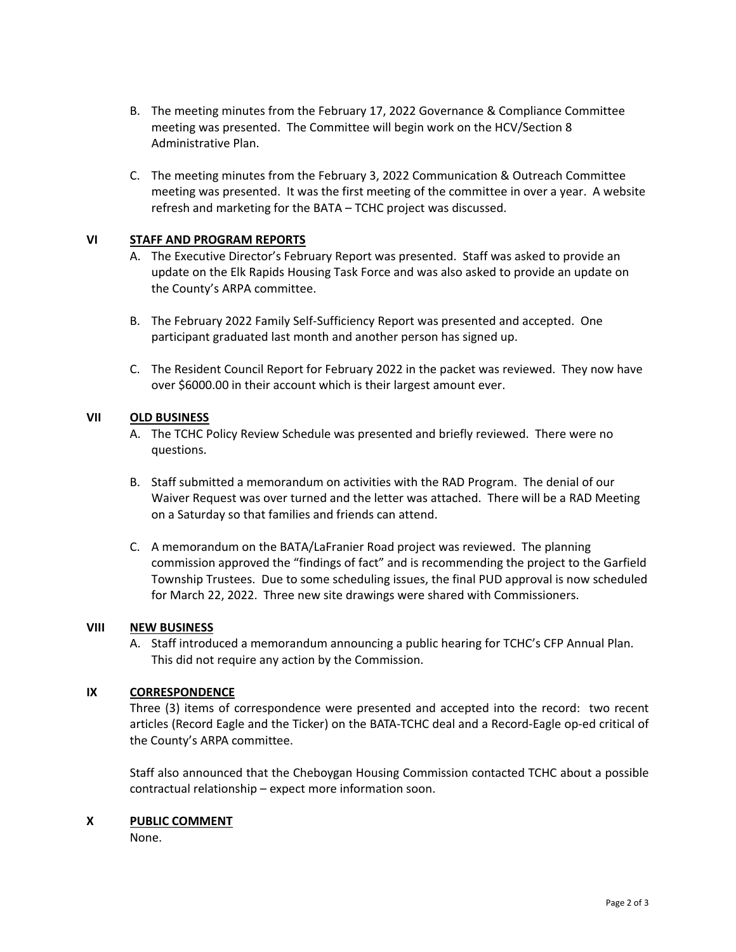- B. The meeting minutes from the February 17, 2022 Governance & Compliance Committee meeting was presented. The Committee will begin work on the HCV/Section 8 Administrative Plan.
- C. The meeting minutes from the February 3, 2022 Communication & Outreach Committee meeting was presented. It was the first meeting of the committee in over a year. A website refresh and marketing for the BATA – TCHC project was discussed.

## **VI STAFF AND PROGRAM REPORTS**

- A. The Executive Director's February Report was presented. Staff was asked to provide an update on the Elk Rapids Housing Task Force and was also asked to provide an update on the County's ARPA committee.
- B. The February 2022 Family Self‐Sufficiency Report was presented and accepted. One participant graduated last month and another person has signed up.
- C. The Resident Council Report for February 2022 in the packet was reviewed. They now have over \$6000.00 in their account which is their largest amount ever.

# **VII OLD BUSINESS**

- A. The TCHC Policy Review Schedule was presented and briefly reviewed. There were no questions.
- B. Staff submitted a memorandum on activities with the RAD Program. The denial of our Waiver Request was over turned and the letter was attached. There will be a RAD Meeting on a Saturday so that families and friends can attend.
- C. A memorandum on the BATA/LaFranier Road project was reviewed. The planning commission approved the "findings of fact" and is recommending the project to the Garfield Township Trustees. Due to some scheduling issues, the final PUD approval is now scheduled for March 22, 2022. Three new site drawings were shared with Commissioners.

# **VIII NEW BUSINESS**

A. Staff introduced a memorandum announcing a public hearing for TCHC's CFP Annual Plan. This did not require any action by the Commission.

## **IX CORRESPONDENCE**

Three (3) items of correspondence were presented and accepted into the record: two recent articles (Record Eagle and the Ticker) on the BATA‐TCHC deal and a Record‐Eagle op‐ed critical of the County's ARPA committee.

Staff also announced that the Cheboygan Housing Commission contacted TCHC about a possible contractual relationship – expect more information soon.

## **X PUBLIC COMMENT**

None.